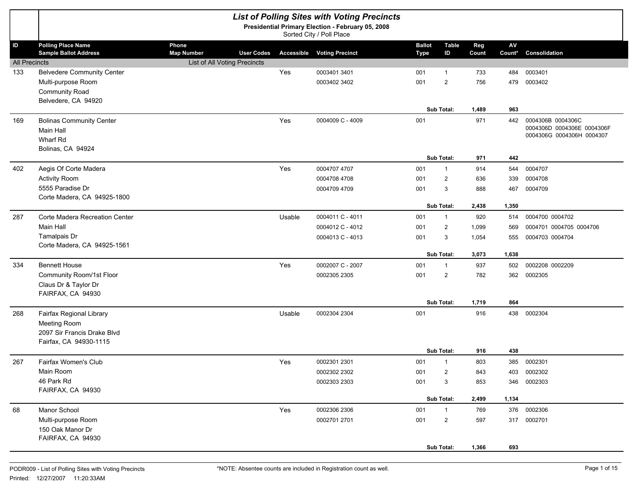|                      |                                                           |                                                 |        | <b>List of Polling Sites with Voting Precincts</b><br>Presidential Primary Election - February 05, 2008<br>Sorted City / Poll Place |                       |                    |              |              |                                                 |
|----------------------|-----------------------------------------------------------|-------------------------------------------------|--------|-------------------------------------------------------------------------------------------------------------------------------------|-----------------------|--------------------|--------------|--------------|-------------------------------------------------|
| ID                   | <b>Polling Place Name</b><br><b>Sample Ballot Address</b> | Phone<br><b>Map Number</b><br><b>User Codes</b> |        | <b>Accessible Voting Precinct</b>                                                                                                   | <b>Ballot</b><br>Type | <b>Table</b><br>ID | Reg<br>Count | AV<br>Count* | Consolidation                                   |
| <b>All Precincts</b> |                                                           | List of All Voting Precincts                    |        |                                                                                                                                     |                       |                    |              |              |                                                 |
| 133                  | <b>Belvedere Community Center</b>                         |                                                 | Yes    | 0003401 3401                                                                                                                        | 001                   | $\mathbf{1}$       | 733          | 484          | 0003401                                         |
|                      | Multi-purpose Room                                        |                                                 |        | 0003402 3402                                                                                                                        | 001                   | $\overline{2}$     | 756          | 479          | 0003402                                         |
|                      | Community Road                                            |                                                 |        |                                                                                                                                     |                       |                    |              |              |                                                 |
|                      | Belvedere, CA 94920                                       |                                                 |        |                                                                                                                                     |                       |                    |              |              |                                                 |
|                      |                                                           |                                                 |        |                                                                                                                                     |                       | Sub Total:         | 1,489        | 963          |                                                 |
| 169                  | <b>Bolinas Community Center</b>                           |                                                 | Yes    | 0004009 C - 4009                                                                                                                    | 001                   |                    | 971          | 442          | 0004306B 0004306C<br>0004306D 0004306E 0004306F |
|                      | <b>Main Hall</b>                                          |                                                 |        |                                                                                                                                     |                       |                    |              |              | 0004306G 0004306H 0004307                       |
|                      | Wharf Rd<br>Bolinas, CA 94924                             |                                                 |        |                                                                                                                                     |                       |                    |              |              |                                                 |
|                      |                                                           |                                                 |        |                                                                                                                                     |                       | Sub Total:         | 971          | 442          |                                                 |
| 402                  | Aegis Of Corte Madera                                     |                                                 | Yes    | 0004707 4707                                                                                                                        | 001                   | $\mathbf{1}$       | 914          | 544          | 0004707                                         |
|                      | <b>Activity Room</b>                                      |                                                 |        | 0004708 4708                                                                                                                        | 001                   | 2                  | 636          | 339          | 0004708                                         |
|                      | 5555 Paradise Dr                                          |                                                 |        | 0004709 4709                                                                                                                        | 001                   | 3                  | 888          | 467          | 0004709                                         |
|                      | Corte Madera, CA 94925-1800                               |                                                 |        |                                                                                                                                     |                       |                    |              |              |                                                 |
|                      |                                                           |                                                 |        |                                                                                                                                     |                       | Sub Total:         | 2,438        | 1,350        |                                                 |
| 287                  | Corte Madera Recreation Center                            |                                                 | Usable | 0004011 C - 4011                                                                                                                    | 001                   | $\mathbf{1}$       | 920          | 514          | 0004700 0004702                                 |
|                      | Main Hall                                                 |                                                 |        | 0004012 C - 4012                                                                                                                    | 001                   | 2                  | 1,099        | 569          | 0004701 0004705 0004706                         |
|                      | Tamalpais Dr                                              |                                                 |        | 0004013 C - 4013                                                                                                                    | 001                   | 3                  | 1,054        | 555          | 0004703 0004704                                 |
|                      | Corte Madera, CA 94925-1561                               |                                                 |        |                                                                                                                                     |                       | Sub Total:         | 3,073        | 1,638        |                                                 |
| 334                  | <b>Bennett House</b>                                      |                                                 | Yes    | 0002007 C - 2007                                                                                                                    | 001                   | $\mathbf{1}$       | 937          | 502          | 0002208 0002209                                 |
|                      | Community Room/1st Floor                                  |                                                 |        | 0002305 2305                                                                                                                        | 001                   | $\overline{2}$     | 782          | 362          | 0002305                                         |
|                      | Claus Dr & Taylor Dr                                      |                                                 |        |                                                                                                                                     |                       |                    |              |              |                                                 |
|                      | FAIRFAX, CA 94930                                         |                                                 |        |                                                                                                                                     |                       |                    |              |              |                                                 |
|                      |                                                           |                                                 |        |                                                                                                                                     |                       | Sub Total:         | 1,719        | 864          |                                                 |
| 268                  | Fairfax Regional Library                                  |                                                 | Usable | 0002304 2304                                                                                                                        | 001                   |                    | 916          | 438          | 0002304                                         |
|                      | Meeting Room                                              |                                                 |        |                                                                                                                                     |                       |                    |              |              |                                                 |
|                      | 2097 Sir Francis Drake Blyd                               |                                                 |        |                                                                                                                                     |                       |                    |              |              |                                                 |
|                      | Fairfax, CA 94930-1115                                    |                                                 |        |                                                                                                                                     |                       | Sub Total:         | 916          | 438          |                                                 |
| 267                  | Fairfax Women's Club                                      |                                                 | Yes    | 0002301 2301                                                                                                                        | 001                   | $\mathbf{1}$       | 803          | 385          | 0002301                                         |
|                      | Main Room                                                 |                                                 |        | 0002302 2302                                                                                                                        | 001                   | $\overline{c}$     | 843          | 403          | 0002302                                         |
|                      | 46 Park Rd                                                |                                                 |        | 0002303 2303                                                                                                                        | 001                   | 3                  | 853          | 346          | 0002303                                         |
|                      | FAIRFAX, CA 94930                                         |                                                 |        |                                                                                                                                     |                       |                    |              |              |                                                 |
|                      |                                                           |                                                 |        |                                                                                                                                     |                       | Sub Total:         | 2,499        | 1,134        |                                                 |
| 68                   | Manor School                                              |                                                 | Yes    | 0002306 2306                                                                                                                        | 001                   | $\mathbf{1}$       | 769          |              | 376 0002306                                     |
|                      | Multi-purpose Room                                        |                                                 |        | 0002701 2701                                                                                                                        | 001                   | $\overline{2}$     | 597          |              | 317 0002701                                     |
|                      | 150 Oak Manor Dr                                          |                                                 |        |                                                                                                                                     |                       |                    |              |              |                                                 |
|                      | FAIRFAX, CA 94930                                         |                                                 |        |                                                                                                                                     |                       |                    |              |              |                                                 |
|                      |                                                           |                                                 |        |                                                                                                                                     |                       | Sub Total:         | 1,366        | 693          |                                                 |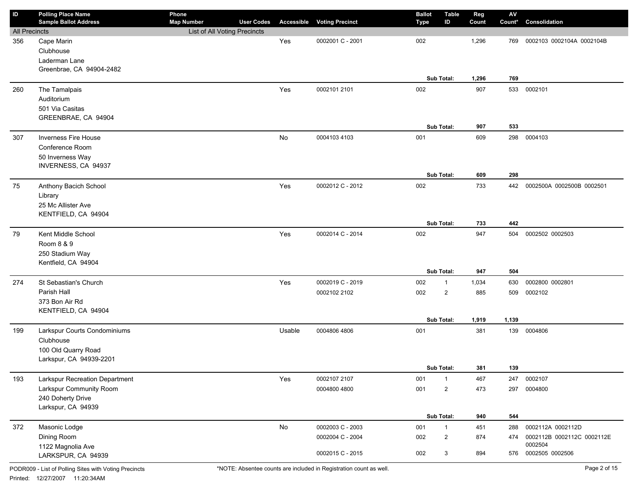| ID                   | <b>Polling Place Name</b><br><b>Sample Ballot Address</b> | Phone<br><b>Map Number</b>   | <b>User Codes</b> | Accessible    | <b>Voting Precinct</b> | <b>Ballot</b><br><b>Type</b> | <b>Table</b><br>ID | Reg<br>Count | $\mathsf{A}\mathsf{V}$<br>Count* | Consolidation                         |
|----------------------|-----------------------------------------------------------|------------------------------|-------------------|---------------|------------------------|------------------------------|--------------------|--------------|----------------------------------|---------------------------------------|
| <b>All Precincts</b> |                                                           | List of All Voting Precincts |                   |               |                        |                              |                    |              |                                  |                                       |
| 356                  | Cape Marin                                                |                              |                   | Yes           | 0002001 C - 2001       | 002                          |                    | 1,296        | 769                              | 0002103 0002104A 0002104B             |
|                      | Clubhouse                                                 |                              |                   |               |                        |                              |                    |              |                                  |                                       |
|                      | Laderman Lane                                             |                              |                   |               |                        |                              |                    |              |                                  |                                       |
|                      | Greenbrae, CA 94904-2482                                  |                              |                   |               |                        |                              |                    |              |                                  |                                       |
|                      |                                                           |                              |                   |               |                        |                              | Sub Total:         | 1,296        | 769                              |                                       |
| 260                  | The Tamalpais                                             |                              |                   | Yes           | 0002101 2101           | 002                          |                    | 907          | 533                              | 0002101                               |
|                      | Auditorium                                                |                              |                   |               |                        |                              |                    |              |                                  |                                       |
|                      | 501 Via Casitas                                           |                              |                   |               |                        |                              |                    |              |                                  |                                       |
|                      | GREENBRAE, CA 94904                                       |                              |                   |               |                        |                              |                    |              |                                  |                                       |
|                      |                                                           |                              |                   |               |                        |                              | Sub Total:         | 907          | 533                              |                                       |
| 307                  | Inverness Fire House                                      |                              |                   | No            | 0004103 4103           | 001                          |                    | 609          | 298                              | 0004103                               |
|                      | Conference Room                                           |                              |                   |               |                        |                              |                    |              |                                  |                                       |
|                      | 50 Inverness Way<br>INVERNESS, CA 94937                   |                              |                   |               |                        |                              |                    |              |                                  |                                       |
|                      |                                                           |                              |                   |               |                        |                              | Sub Total:         | 609          | 298                              |                                       |
| 75                   | Anthony Bacich School                                     |                              |                   | Yes           | 0002012 C - 2012       | 002                          |                    | 733          | 442                              | 0002500A 0002500B 0002501             |
|                      | Library                                                   |                              |                   |               |                        |                              |                    |              |                                  |                                       |
|                      | 25 Mc Allister Ave                                        |                              |                   |               |                        |                              |                    |              |                                  |                                       |
|                      | KENTFIELD, CA 94904                                       |                              |                   |               |                        |                              |                    |              |                                  |                                       |
|                      |                                                           |                              |                   |               |                        |                              | Sub Total:         | 733          | 442                              |                                       |
| 79                   | Kent Middle School                                        |                              |                   | Yes           | 0002014 C - 2014       | 002                          |                    | 947          | 504                              | 0002502 0002503                       |
|                      | Room 8 & 9                                                |                              |                   |               |                        |                              |                    |              |                                  |                                       |
|                      | 250 Stadium Way                                           |                              |                   |               |                        |                              |                    |              |                                  |                                       |
|                      | Kentfield, CA 94904                                       |                              |                   |               |                        |                              |                    |              |                                  |                                       |
|                      |                                                           |                              |                   |               |                        |                              | Sub Total:         | 947          | 504                              |                                       |
| 274                  | St Sebastian's Church                                     |                              |                   | Yes           | 0002019 C - 2019       | 002                          | $\mathbf{1}$       | 1,034        | 630                              | 0002800 0002801                       |
|                      | Parish Hall                                               |                              |                   |               | 0002102 2102           | 002                          | $\overline{2}$     | 885          | 509                              | 0002102                               |
|                      | 373 Bon Air Rd                                            |                              |                   |               |                        |                              |                    |              |                                  |                                       |
|                      | KENTFIELD, CA 94904                                       |                              |                   |               |                        |                              | Sub Total:         | 1,919        | 1,139                            |                                       |
| 199                  | Larkspur Courts Condominiums                              |                              |                   | Usable        | 0004806 4806           | 001                          |                    | 381          |                                  | 139 0004806                           |
|                      | Clubhouse                                                 |                              |                   |               |                        |                              |                    |              |                                  |                                       |
|                      | 100 Old Quarry Road                                       |                              |                   |               |                        |                              |                    |              |                                  |                                       |
|                      | Larkspur, CA 94939-2201                                   |                              |                   |               |                        |                              |                    |              |                                  |                                       |
|                      |                                                           |                              |                   |               |                        |                              | Sub Total:         | 381          | 139                              |                                       |
| 193                  | Larkspur Recreation Department                            |                              |                   | Yes           | 0002107 2107           | 001                          | $\mathbf{1}$       | 467          | 247                              | 0002107                               |
|                      | Larkspur Community Room                                   |                              |                   |               | 0004800 4800           | 001                          | $\overline{c}$     | 473          | 297                              | 0004800                               |
|                      | 240 Doherty Drive                                         |                              |                   |               |                        |                              |                    |              |                                  |                                       |
|                      | Larkspur, CA 94939                                        |                              |                   |               |                        |                              |                    |              |                                  |                                       |
|                      |                                                           |                              |                   |               |                        |                              | Sub Total:         | 940          | 544                              |                                       |
| 372                  | Masonic Lodge                                             |                              |                   | $\mathsf{No}$ | 0002003 C - 2003       | 001                          | $\mathbf{1}$       | 451          | 288                              | 0002112A 0002112D                     |
|                      | Dining Room                                               |                              |                   |               | 0002004 C - 2004       | 002                          | $\overline{c}$     | 874          | 474                              | 0002112B 0002112C 0002112E<br>0002504 |
|                      | 1122 Magnolia Ave                                         |                              |                   |               | 0002015 C - 2015       | 002                          | 3                  | 894          |                                  | 576 0002505 0002506                   |
|                      | LARKSPUR, CA 94939                                        |                              |                   |               |                        |                              |                    |              |                                  |                                       |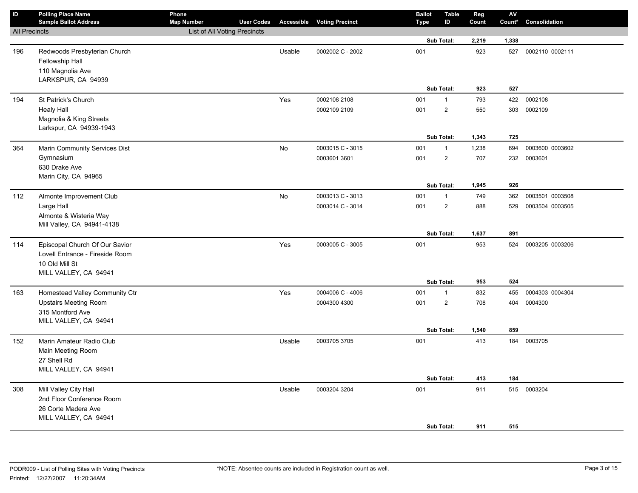| $\overline{D}$       | <b>Polling Place Name</b><br><b>Sample Ballot Address</b> | Phone<br><b>Map Number</b>   | <b>User Codes</b> |        | <b>Accessible Voting Precinct</b> | <b>Ballot</b><br><b>Type</b> | <b>Table</b><br>ID | Reg<br>Count | ${\sf AV}$<br>Count* | Consolidation   |
|----------------------|-----------------------------------------------------------|------------------------------|-------------------|--------|-----------------------------------|------------------------------|--------------------|--------------|----------------------|-----------------|
| <b>All Precincts</b> |                                                           | List of All Voting Precincts |                   |        |                                   |                              |                    |              |                      |                 |
|                      |                                                           |                              |                   |        |                                   |                              | Sub Total:         | 2,219        | 1,338                |                 |
| 196                  | Redwoods Presbyterian Church<br>Fellowship Hall           |                              |                   | Usable | 0002002 C - 2002                  | 001                          |                    | 923          | 527                  | 0002110 0002111 |
|                      | 110 Magnolia Ave<br>LARKSPUR, CA 94939                    |                              |                   |        |                                   |                              |                    |              |                      |                 |
|                      |                                                           |                              |                   |        |                                   |                              | Sub Total:         | 923          | 527                  |                 |
| 194                  | St Patrick's Church                                       |                              |                   | Yes    | 0002108 2108                      | 001                          | $\mathbf{1}$       | 793          | 422                  | 0002108         |
|                      | <b>Healy Hall</b>                                         |                              |                   |        | 0002109 2109                      | 001                          | $\overline{2}$     | 550          | 303                  | 0002109         |
|                      | Magnolia & King Streets                                   |                              |                   |        |                                   |                              |                    |              |                      |                 |
|                      | Larkspur, CA 94939-1943                                   |                              |                   |        |                                   |                              |                    |              |                      |                 |
|                      |                                                           |                              |                   |        |                                   |                              | Sub Total:         | 1,343        | 725                  |                 |
| 364                  | Marin Community Services Dist                             |                              |                   | No     | 0003015 C - 3015                  | 001                          | $\mathbf{1}$       | 1,238        | 694                  | 0003600 0003602 |
|                      | Gymnasium                                                 |                              |                   |        | 0003601 3601                      | 001                          | $\overline{2}$     | 707          | 232                  | 0003601         |
|                      | 630 Drake Ave                                             |                              |                   |        |                                   |                              |                    |              |                      |                 |
|                      | Marin City, CA 94965                                      |                              |                   |        |                                   |                              |                    |              |                      |                 |
|                      |                                                           |                              |                   |        |                                   |                              | Sub Total:         | 1,945        | 926                  |                 |
| 112                  | Almonte Improvement Club                                  |                              |                   | No     | 0003013 C - 3013                  | 001                          | $\mathbf{1}$       | 749          | 362                  | 0003501 0003508 |
|                      | Large Hall                                                |                              |                   |        | 0003014 C - 3014                  | 001                          | $\overline{2}$     | 888          | 529                  | 0003504 0003505 |
|                      | Almonte & Wisteria Way<br>Mill Valley, CA 94941-4138      |                              |                   |        |                                   |                              |                    |              |                      |                 |
|                      |                                                           |                              |                   |        |                                   |                              | Sub Total:         | 1,637        | 891                  |                 |
| 114                  | Episcopal Church Of Our Savior                            |                              |                   | Yes    | 0003005 C - 3005                  | 001                          |                    | 953          | 524                  | 0003205 0003206 |
|                      | Lovell Entrance - Fireside Room                           |                              |                   |        |                                   |                              |                    |              |                      |                 |
|                      | 10 Old Mill St                                            |                              |                   |        |                                   |                              |                    |              |                      |                 |
|                      | MILL VALLEY, CA 94941                                     |                              |                   |        |                                   |                              |                    |              |                      |                 |
|                      |                                                           |                              |                   |        |                                   |                              | Sub Total:         | 953          | 524                  |                 |
| 163                  | Homestead Valley Community Ctr                            |                              |                   | Yes    | 0004006 C - 4006                  | 001                          | $\mathbf{1}$       | 832          | 455                  | 0004303 0004304 |
|                      | <b>Upstairs Meeting Room</b>                              |                              |                   |        | 0004300 4300                      | 001                          | $\overline{2}$     | 708          | 404                  | 0004300         |
|                      | 315 Montford Ave                                          |                              |                   |        |                                   |                              |                    |              |                      |                 |
|                      | MILL VALLEY, CA 94941                                     |                              |                   |        |                                   |                              |                    |              |                      |                 |
|                      |                                                           |                              |                   |        |                                   |                              | Sub Total:         | 1,540        | 859                  |                 |
| 152                  | Marin Amateur Radio Club                                  |                              |                   | Usable | 0003705 3705                      | 001                          |                    | 413          |                      | 184 0003705     |
|                      | Main Meeting Room                                         |                              |                   |        |                                   |                              |                    |              |                      |                 |
|                      | 27 Shell Rd                                               |                              |                   |        |                                   |                              |                    |              |                      |                 |
|                      | MILL VALLEY, CA 94941                                     |                              |                   |        |                                   |                              | Sub Total:         | 413          | 184                  |                 |
| 308                  | Mill Valley City Hall                                     |                              |                   | Usable | 0003204 3204                      | 001                          |                    | 911          | 515                  | 0003204         |
|                      | 2nd Floor Conference Room                                 |                              |                   |        |                                   |                              |                    |              |                      |                 |
|                      | 26 Corte Madera Ave                                       |                              |                   |        |                                   |                              |                    |              |                      |                 |
|                      | MILL VALLEY, CA 94941                                     |                              |                   |        |                                   |                              |                    |              |                      |                 |
|                      |                                                           |                              |                   |        |                                   |                              | Sub Total:         | 911          | 515                  |                 |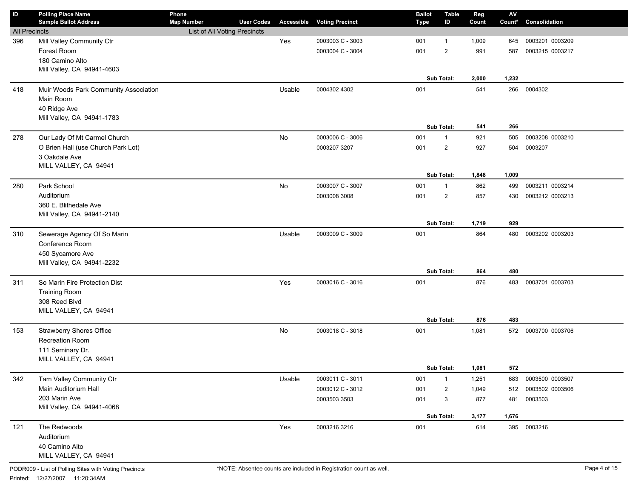| ID                   | <b>Polling Place Name</b>                 | Phone                        |                   |        |                                   | <b>Ballot</b> | <b>Table</b>   | Reg   | $\mathsf{A}\mathsf{V}$ |                 |
|----------------------|-------------------------------------------|------------------------------|-------------------|--------|-----------------------------------|---------------|----------------|-------|------------------------|-----------------|
|                      | <b>Sample Ballot Address</b>              | <b>Map Number</b>            | <b>User Codes</b> |        | <b>Accessible Voting Precinct</b> | <b>Type</b>   | ID             | Count | Count*                 | Consolidation   |
| <b>All Precincts</b> |                                           | List of All Voting Precincts |                   |        |                                   |               |                |       |                        |                 |
| 396                  | Mill Valley Community Ctr                 |                              |                   | Yes    | 0003003 C - 3003                  | 001           | 1              | 1,009 | 645                    | 0003201 0003209 |
|                      | Forest Room                               |                              |                   |        | 0003004 C - 3004                  | 001           | $\overline{2}$ | 991   | 587                    | 0003215 0003217 |
|                      | 180 Camino Alto                           |                              |                   |        |                                   |               |                |       |                        |                 |
|                      | Mill Valley, CA 94941-4603                |                              |                   |        |                                   |               | Sub Total:     | 2,000 | 1,232                  |                 |
| 418                  | Muir Woods Park Community Association     |                              |                   | Usable | 0004302 4302                      | 001           |                | 541   | 266                    | 0004302         |
|                      | Main Room                                 |                              |                   |        |                                   |               |                |       |                        |                 |
|                      | 40 Ridge Ave                              |                              |                   |        |                                   |               |                |       |                        |                 |
|                      | Mill Valley, CA 94941-1783                |                              |                   |        |                                   |               |                |       |                        |                 |
|                      |                                           |                              |                   |        |                                   |               | Sub Total:     | 541   | 266                    |                 |
| 278                  | Our Lady Of Mt Carmel Church              |                              |                   | No     | 0003006 C - 3006                  | 001           | $\mathbf{1}$   | 921   | 505                    | 0003208 0003210 |
|                      | O Brien Hall (use Church Park Lot)        |                              |                   |        | 0003207 3207                      | 001           | $\overline{2}$ | 927   | 504                    | 0003207         |
|                      | 3 Oakdale Ave                             |                              |                   |        |                                   |               |                |       |                        |                 |
|                      | MILL VALLEY, CA 94941                     |                              |                   |        |                                   |               |                |       |                        |                 |
|                      |                                           |                              |                   |        |                                   |               | Sub Total:     | 1,848 | 1,009                  |                 |
| 280                  | Park School                               |                              |                   | No     | 0003007 C - 3007                  | 001           | $\mathbf{1}$   | 862   | 499                    | 0003211 0003214 |
|                      | Auditorium                                |                              |                   |        | 0003008 3008                      | 001           | $\overline{2}$ | 857   | 430                    | 0003212 0003213 |
|                      | 360 E. Blithedale Ave                     |                              |                   |        |                                   |               |                |       |                        |                 |
|                      | Mill Valley, CA 94941-2140                |                              |                   |        |                                   |               |                |       |                        |                 |
|                      |                                           |                              |                   |        |                                   |               | Sub Total:     | 1,719 | 929                    |                 |
| 310                  | Sewerage Agency Of So Marin               |                              |                   | Usable | 0003009 C - 3009                  | 001           |                | 864   | 480                    | 0003202 0003203 |
|                      | Conference Room                           |                              |                   |        |                                   |               |                |       |                        |                 |
|                      | 450 Sycamore Ave                          |                              |                   |        |                                   |               |                |       |                        |                 |
|                      | Mill Valley, CA 94941-2232                |                              |                   |        |                                   |               |                |       |                        |                 |
|                      |                                           |                              |                   |        |                                   |               | Sub Total:     | 864   | 480                    |                 |
| 311                  | So Marin Fire Protection Dist             |                              |                   | Yes    | 0003016 C - 3016                  | 001           |                | 876   | 483                    | 0003701 0003703 |
|                      | <b>Training Room</b>                      |                              |                   |        |                                   |               |                |       |                        |                 |
|                      | 308 Reed Blvd                             |                              |                   |        |                                   |               |                |       |                        |                 |
|                      | MILL VALLEY, CA 94941                     |                              |                   |        |                                   |               |                |       |                        |                 |
|                      |                                           |                              |                   |        |                                   |               | Sub Total:     | 876   | 483                    |                 |
| 153                  | <b>Strawberry Shores Office</b>           |                              |                   | No     | 0003018 C - 3018                  | 001           |                | 1,081 | 572                    | 0003700 0003706 |
|                      | Recreation Room                           |                              |                   |        |                                   |               |                |       |                        |                 |
|                      | 111 Seminary Dr.<br>MILL VALLEY, CA 94941 |                              |                   |        |                                   |               |                |       |                        |                 |
|                      |                                           |                              |                   |        |                                   |               | Sub Total:     | 1,081 | 572                    |                 |
| 342                  | Tam Valley Community Ctr                  |                              |                   | Usable | 0003011 C - 3011                  | 001           | $\mathbf{1}$   | 1,251 | 683                    | 0003500 0003507 |
|                      | Main Auditorium Hall                      |                              |                   |        | 0003012 C - 3012                  | 001           |                | 1,049 | 512                    | 0003502 0003506 |
|                      | 203 Marin Ave                             |                              |                   |        |                                   |               | $\overline{c}$ |       |                        |                 |
|                      | Mill Valley, CA 94941-4068                |                              |                   |        | 0003503 3503                      | 001           | 3              | 877   | 481                    | 0003503         |
|                      |                                           |                              |                   |        |                                   |               | Sub Total:     | 3,177 | 1,676                  |                 |
| 121                  | The Redwoods                              |                              |                   | Yes    | 0003216 3216                      | 001           |                | 614   |                        | 395 0003216     |
|                      | Auditorium                                |                              |                   |        |                                   |               |                |       |                        |                 |
|                      | 40 Camino Alto                            |                              |                   |        |                                   |               |                |       |                        |                 |
|                      | MILL VALLEY, CA 94941                     |                              |                   |        |                                   |               |                |       |                        |                 |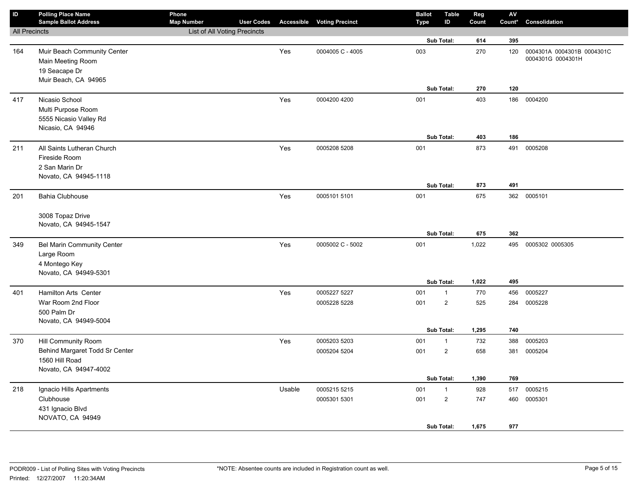| $\mathsf{ID}$        | <b>Polling Place Name</b><br><b>Sample Ballot Address</b>                                        | Phone<br><b>Map Number</b>          | <b>User Codes</b> |        | <b>Accessible Voting Precinct</b> | <b>Ballot</b><br><b>Type</b> | <b>Table</b><br>ID                           | Reg<br>Count        | ${\sf AV}$<br>Count* | Consolidation                                   |
|----------------------|--------------------------------------------------------------------------------------------------|-------------------------------------|-------------------|--------|-----------------------------------|------------------------------|----------------------------------------------|---------------------|----------------------|-------------------------------------------------|
| <b>All Precincts</b> |                                                                                                  | <b>List of All Voting Precincts</b> |                   |        |                                   |                              |                                              |                     |                      |                                                 |
|                      |                                                                                                  |                                     |                   |        |                                   |                              | Sub Total:                                   | 614                 | 395                  |                                                 |
| 164                  | Muir Beach Community Center<br>Main Meeting Room<br>19 Seacape Dr<br>Muir Beach, CA 94965        |                                     |                   | Yes    | 0004005 C - 4005                  | 003                          |                                              | 270                 | 120                  | 0004301A 0004301B 0004301C<br>0004301G 0004301H |
|                      |                                                                                                  |                                     |                   |        |                                   |                              | Sub Total:                                   | 270                 | 120                  |                                                 |
| 417                  | Nicasio School<br>Multi Purpose Room<br>5555 Nicasio Valley Rd<br>Nicasio, CA 94946              |                                     |                   | Yes    | 0004200 4200                      | 001                          | Sub Total:                                   | 403<br>403          | 186<br>186           | 0004200                                         |
| 211                  | All Saints Lutheran Church                                                                       |                                     |                   | Yes    | 0005208 5208                      | 001                          |                                              | 873                 | 491                  | 0005208                                         |
|                      | Fireside Room<br>2 San Marin Dr<br>Novato, CA 94945-1118                                         |                                     |                   |        |                                   |                              | Sub Total:                                   | 873                 | 491                  |                                                 |
| 201                  | <b>Bahia Clubhouse</b>                                                                           |                                     |                   | Yes    | 0005101 5101                      | 001                          |                                              | 675                 |                      | 362 0005101                                     |
|                      | 3008 Topaz Drive<br>Novato, CA 94945-1547                                                        |                                     |                   |        |                                   |                              | Sub Total:                                   | 675                 | 362                  |                                                 |
| 349                  | <b>Bel Marin Community Center</b><br>Large Room<br>4 Montego Key<br>Novato, CA 94949-5301        |                                     |                   | Yes    | 0005002 C - 5002                  | 001                          |                                              | 1,022               |                      | 495 0005302 0005305                             |
|                      |                                                                                                  |                                     |                   |        |                                   |                              | Sub Total:                                   | 1,022               | 495                  |                                                 |
| 401                  | <b>Hamilton Arts Center</b>                                                                      |                                     |                   | Yes    | 0005227 5227                      | 001                          | $\mathbf{1}$                                 | 770                 | 456                  | 0005227                                         |
|                      | War Room 2nd Floor<br>500 Palm Dr<br>Novato, CA 94949-5004                                       |                                     |                   |        | 0005228 5228                      | 001                          | $\overline{c}$                               | 525                 | 284                  | 0005228                                         |
|                      |                                                                                                  |                                     |                   |        |                                   |                              | Sub Total:                                   | 1,295               | 740                  |                                                 |
| 370                  | Hill Community Room<br>Behind Margaret Todd Sr Center<br>1560 Hill Road<br>Novato, CA 94947-4002 |                                     |                   | Yes    | 0005203 5203<br>0005204 5204      | 001<br>001                   | $\mathbf{1}$<br>$\overline{c}$<br>Sub Total: | 732<br>658<br>1,390 | 388<br>381<br>769    | 0005203<br>0005204                              |
| 218                  | Ignacio Hills Apartments                                                                         |                                     |                   | Usable | 0005215 5215                      | 001                          | $\mathbf{1}$                                 | 928                 | 517                  | 0005215                                         |
|                      | Clubhouse<br>431 Ignacio Blvd<br>NOVATO, CA 94949                                                |                                     |                   |        | 0005301 5301                      | 001                          | $\overline{2}$<br>Sub Total:                 | 747<br>1,675        | 460<br>977           | 0005301                                         |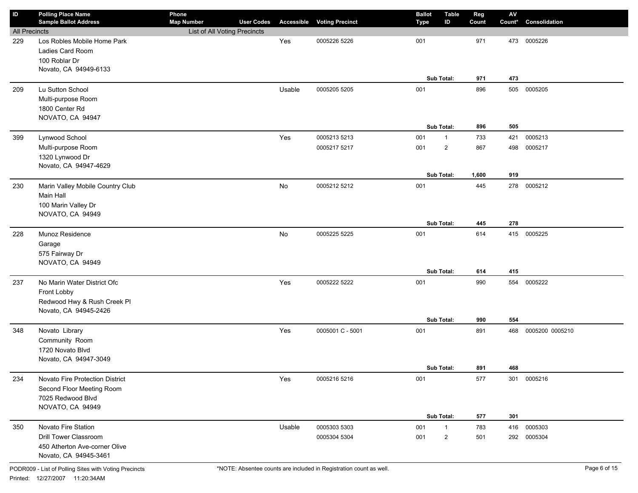| ID                   | <b>Polling Place Name</b><br><b>Sample Ballot Address</b> | Phone<br><b>Map Number</b>   | <b>User Codes</b> | Accessible | <b>Voting Precinct</b> | <b>Ballot</b><br><b>Type</b> | <b>Table</b><br>ID | Reg<br>Count | $\mathbf{A}\mathbf{V}$<br>Count* | Consolidation   |
|----------------------|-----------------------------------------------------------|------------------------------|-------------------|------------|------------------------|------------------------------|--------------------|--------------|----------------------------------|-----------------|
| <b>All Precincts</b> |                                                           | List of All Voting Precincts |                   |            |                        |                              |                    |              |                                  |                 |
| 229                  | Los Robles Mobile Home Park                               |                              |                   | Yes        | 0005226 5226           | 001                          |                    | 971          | 473                              | 0005226         |
|                      | Ladies Card Room                                          |                              |                   |            |                        |                              |                    |              |                                  |                 |
|                      | 100 Roblar Dr                                             |                              |                   |            |                        |                              |                    |              |                                  |                 |
|                      | Novato, CA 94949-6133                                     |                              |                   |            |                        |                              |                    |              |                                  |                 |
|                      |                                                           |                              |                   |            |                        |                              | Sub Total:         | 971          | 473                              |                 |
| 209                  | Lu Sutton School                                          |                              |                   | Usable     | 0005205 5205           | 001                          |                    | 896          | 505                              | 0005205         |
|                      | Multi-purpose Room                                        |                              |                   |            |                        |                              |                    |              |                                  |                 |
|                      | 1800 Center Rd                                            |                              |                   |            |                        |                              |                    |              |                                  |                 |
|                      | NOVATO, CA 94947                                          |                              |                   |            |                        |                              |                    |              |                                  |                 |
|                      |                                                           |                              |                   |            |                        |                              | Sub Total:         | 896          | 505                              |                 |
| 399                  | Lynwood School                                            |                              |                   | Yes        | 0005213 5213           | 001                          | $\mathbf{1}$       | 733          | 421                              | 0005213         |
|                      | Multi-purpose Room                                        |                              |                   |            | 0005217 5217           | 001                          | $\overline{2}$     | 867          | 498                              | 0005217         |
|                      | 1320 Lynwood Dr                                           |                              |                   |            |                        |                              |                    |              |                                  |                 |
|                      | Novato, CA 94947-4629                                     |                              |                   |            |                        |                              |                    |              |                                  |                 |
|                      |                                                           |                              |                   |            |                        |                              | Sub Total:         | 1,600        | 919                              |                 |
| 230                  | Marin Valley Mobile Country Club                          |                              |                   | No         | 0005212 5212           | 001                          |                    | 445          | 278                              | 0005212         |
|                      | Main Hall                                                 |                              |                   |            |                        |                              |                    |              |                                  |                 |
|                      | 100 Marin Valley Dr                                       |                              |                   |            |                        |                              |                    |              |                                  |                 |
|                      | NOVATO, CA 94949                                          |                              |                   |            |                        |                              | Sub Total:         | 445          | 278                              |                 |
|                      |                                                           |                              |                   |            |                        |                              |                    |              |                                  |                 |
| 228                  | Munoz Residence                                           |                              |                   | No         | 0005225 5225           | 001                          |                    | 614          | 415                              | 0005225         |
|                      | Garage                                                    |                              |                   |            |                        |                              |                    |              |                                  |                 |
|                      | 575 Fairway Dr<br>NOVATO, CA 94949                        |                              |                   |            |                        |                              |                    |              |                                  |                 |
|                      |                                                           |                              |                   |            |                        |                              | Sub Total:         | 614          | 415                              |                 |
| 237                  | No Marin Water District Ofc                               |                              |                   | Yes        | 0005222 5222           | 001                          |                    | 990          | 554                              | 0005222         |
|                      | Front Lobby                                               |                              |                   |            |                        |                              |                    |              |                                  |                 |
|                      | Redwood Hwy & Rush Creek Pl                               |                              |                   |            |                        |                              |                    |              |                                  |                 |
|                      | Novato, CA 94945-2426                                     |                              |                   |            |                        |                              |                    |              |                                  |                 |
|                      |                                                           |                              |                   |            |                        |                              | Sub Total:         | 990          | 554                              |                 |
| 348                  | Novato Library                                            |                              |                   | Yes        | 0005001 C - 5001       | 001                          |                    | 891          | 468                              | 0005200 0005210 |
|                      | Community Room                                            |                              |                   |            |                        |                              |                    |              |                                  |                 |
|                      | 1720 Novato Blvd                                          |                              |                   |            |                        |                              |                    |              |                                  |                 |
|                      | Novato, CA 94947-3049                                     |                              |                   |            |                        |                              |                    |              |                                  |                 |
|                      |                                                           |                              |                   |            |                        |                              | Sub Total:         | 891          | 468                              |                 |
| 234                  | Novato Fire Protection District                           |                              |                   | Yes        | 0005216 5216           | 001                          |                    | 577          | 301                              | 0005216         |
|                      | Second Floor Meeting Room                                 |                              |                   |            |                        |                              |                    |              |                                  |                 |
|                      | 7025 Redwood Blvd                                         |                              |                   |            |                        |                              |                    |              |                                  |                 |
|                      | NOVATO, CA 94949                                          |                              |                   |            |                        |                              |                    |              |                                  |                 |
|                      |                                                           |                              |                   |            |                        |                              | Sub Total:         | 577          | 301                              |                 |
| 350                  | Novato Fire Station                                       |                              |                   | Usable     | 0005303 5303           | 001                          | $\mathbf{1}$       | 783          | 416                              | 0005303         |
|                      | Drill Tower Classroom                                     |                              |                   |            | 0005304 5304           | 001                          | $\overline{2}$     | 501          | 292                              | 0005304         |
|                      | 450 Atherton Ave-corner Olive                             |                              |                   |            |                        |                              |                    |              |                                  |                 |
|                      | Novato, CA 94945-3461                                     |                              |                   |            |                        |                              |                    |              |                                  |                 |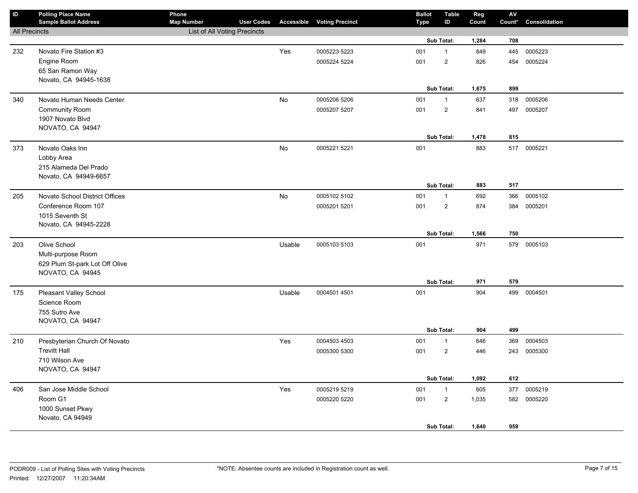| $\sf ID$             | <b>Polling Place Name</b><br><b>Sample Ballot Address</b> | Phone<br><b>Map Number</b>   | <b>User Codes</b> |        | <b>Accessible Voting Precinct</b> | <b>Ballot</b><br><b>Type</b> | <b>Table</b><br>ID | Reg<br>Count | $\mathsf{AV}$<br>Count* | Consolidation |
|----------------------|-----------------------------------------------------------|------------------------------|-------------------|--------|-----------------------------------|------------------------------|--------------------|--------------|-------------------------|---------------|
| <b>All Precincts</b> |                                                           | List of All Voting Precincts |                   |        |                                   |                              |                    |              |                         |               |
|                      |                                                           |                              |                   |        |                                   |                              | Sub Total:         | 1,284        | 708                     |               |
| 232                  | Novato Fire Station #3                                    |                              |                   | Yes    | 0005223 5223                      | 001                          | $\mathbf{1}$       | 849          | 445                     | 0005223       |
|                      | Engine Room                                               |                              |                   |        | 0005224 5224                      | 001                          | $\mathbf 2$        | 826          | 454                     | 0005224       |
|                      | 65 San Ramon Way                                          |                              |                   |        |                                   |                              |                    |              |                         |               |
|                      | Novato, CA 94945-1638                                     |                              |                   |        |                                   |                              |                    |              |                         |               |
|                      |                                                           |                              |                   |        |                                   |                              | Sub Total:         | 1,675        | 899                     |               |
| 340                  | Novato Human Needs Center                                 |                              |                   | No     | 0005206 5206                      | 001                          | $\mathbf{1}$       | 637          | 318                     | 0005206       |
|                      | <b>Community Room</b>                                     |                              |                   |        | 0005207 5207                      | 001                          | $\overline{2}$     | 841          | 497                     | 0005207       |
|                      | 1907 Novato Blvd                                          |                              |                   |        |                                   |                              |                    |              |                         |               |
|                      | NOVATO, CA 94947                                          |                              |                   |        |                                   |                              |                    |              |                         |               |
|                      |                                                           |                              |                   |        |                                   |                              | Sub Total:         | 1,478        | 815                     |               |
| 373                  | Novato Oaks Inn                                           |                              |                   | No     | 0005221 5221                      | 001                          |                    | 883          | 517                     | 0005221       |
|                      | Lobby Area                                                |                              |                   |        |                                   |                              |                    |              |                         |               |
|                      | 215 Alameda Del Prado                                     |                              |                   |        |                                   |                              |                    |              |                         |               |
|                      | Novato, CA 94949-6657                                     |                              |                   |        |                                   |                              | Sub Total:         |              |                         |               |
|                      |                                                           |                              |                   |        |                                   |                              |                    | 883          | 517                     |               |
| 205                  | Novato School District Offices                            |                              |                   | No     | 0005102 5102                      | 001                          | $\mathbf{1}$       | 692          | 366                     | 0005102       |
|                      | Conference Room 107<br>1015 Seventh St                    |                              |                   |        | 0005201 5201                      | 001                          | $\overline{2}$     | 874          | 384                     | 0005201       |
|                      | Novato, CA 94945-2228                                     |                              |                   |        |                                   |                              |                    |              |                         |               |
|                      |                                                           |                              |                   |        |                                   |                              | Sub Total:         | 1,566        | 750                     |               |
| 203                  | Olive School                                              |                              |                   | Usable | 0005103 5103                      | 001                          |                    | 971          | 579                     | 0005103       |
|                      | Multi-purpose Room                                        |                              |                   |        |                                   |                              |                    |              |                         |               |
|                      | 629 Plum St-park Lot Off Olive                            |                              |                   |        |                                   |                              |                    |              |                         |               |
|                      | NOVATO, CA 94945                                          |                              |                   |        |                                   |                              |                    |              |                         |               |
|                      |                                                           |                              |                   |        |                                   |                              | Sub Total:         | 971          | 579                     |               |
| 175                  | Pleasant Valley School                                    |                              |                   | Usable | 0004501 4501                      | 001                          |                    | 904          | 499                     | 0004501       |
|                      | Science Room                                              |                              |                   |        |                                   |                              |                    |              |                         |               |
|                      | 755 Sutro Ave                                             |                              |                   |        |                                   |                              |                    |              |                         |               |
|                      | NOVATO, CA 94947                                          |                              |                   |        |                                   |                              |                    |              |                         |               |
|                      |                                                           |                              |                   |        |                                   |                              | Sub Total:         | 904          | 499                     |               |
| 210                  | Presbyterian Church Of Novato                             |                              |                   | Yes    | 0004503 4503                      | 001                          | $\mathbf{1}$       | 646          | 369                     | 0004503       |
|                      | <b>Trevitt Hall</b>                                       |                              |                   |        | 0005300 5300                      | 001                          | $\mathbf 2$        | 446          | 243                     | 0005300       |
|                      | 710 Wilson Ave                                            |                              |                   |        |                                   |                              |                    |              |                         |               |
|                      | NOVATO, CA 94947                                          |                              |                   |        |                                   |                              |                    |              |                         |               |
|                      |                                                           |                              |                   |        |                                   |                              | Sub Total:         | 1,092        | 612                     |               |
| 406                  | San Jose Middle School                                    |                              |                   | Yes    | 0005219 5219                      | 001                          | $\mathbf{1}$       | 605          | 377                     | 0005219       |
|                      | Room G1                                                   |                              |                   |        | 0005220 5220                      | 001                          | $\overline{2}$     | 1,035        | 582                     | 0005220       |
|                      | 1000 Sunset Pkwy                                          |                              |                   |        |                                   |                              |                    |              |                         |               |
|                      | Novato, CA 94949                                          |                              |                   |        |                                   |                              | Sub Total:         | 1,640        | 959                     |               |
|                      |                                                           |                              |                   |        |                                   |                              |                    |              |                         |               |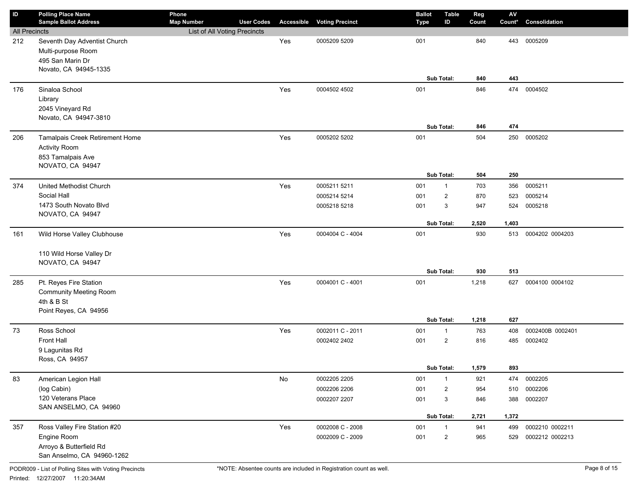| ID                   | <b>Polling Place Name</b>         | Phone                        |                   |                   |                        | <b>Ballot</b> | <b>Table</b>   | Reg   | $\mathbf{A}\mathbf{V}$ |                  |
|----------------------|-----------------------------------|------------------------------|-------------------|-------------------|------------------------|---------------|----------------|-------|------------------------|------------------|
|                      | <b>Sample Ballot Address</b>      | <b>Map Number</b>            | <b>User Codes</b> | <b>Accessible</b> | <b>Voting Precinct</b> | <b>Type</b>   | ID             | Count | Count*                 | Consolidation    |
| <b>All Precincts</b> |                                   | List of All Voting Precincts |                   |                   |                        |               |                |       |                        |                  |
| 212                  | Seventh Day Adventist Church      |                              |                   | Yes               | 0005209 5209           | 001           |                | 840   | 443                    | 0005209          |
|                      | Multi-purpose Room                |                              |                   |                   |                        |               |                |       |                        |                  |
|                      | 495 San Marin Dr                  |                              |                   |                   |                        |               |                |       |                        |                  |
|                      | Novato, CA 94945-1335             |                              |                   |                   |                        |               | Sub Total:     | 840   | 443                    |                  |
|                      | Sinaloa School                    |                              |                   | Yes               | 0004502 4502           | 001           |                | 846   | 474                    | 0004502          |
| 176                  |                                   |                              |                   |                   |                        |               |                |       |                        |                  |
|                      | Library<br>2045 Vineyard Rd       |                              |                   |                   |                        |               |                |       |                        |                  |
|                      | Novato, CA 94947-3810             |                              |                   |                   |                        |               |                |       |                        |                  |
|                      |                                   |                              |                   |                   |                        |               | Sub Total:     | 846   | 474                    |                  |
| 206                  | Tamalpais Creek Retirement Home   |                              |                   | Yes               | 0005202 5202           | 001           |                | 504   | 250                    | 0005202          |
|                      | <b>Activity Room</b>              |                              |                   |                   |                        |               |                |       |                        |                  |
|                      | 853 Tamalpais Ave                 |                              |                   |                   |                        |               |                |       |                        |                  |
|                      | NOVATO, CA 94947                  |                              |                   |                   |                        |               |                |       |                        |                  |
|                      |                                   |                              |                   |                   |                        |               | Sub Total:     | 504   | 250                    |                  |
| 374                  | United Methodist Church           |                              |                   | Yes               | 0005211 5211           | 001           | $\mathbf{1}$   | 703   | 356                    | 0005211          |
|                      | Social Hall                       |                              |                   |                   | 0005214 5214           | 001           | $\overline{2}$ | 870   | 523                    | 0005214          |
|                      | 1473 South Novato Blvd            |                              |                   |                   | 0005218 5218           | 001           | 3              | 947   | 524                    | 0005218          |
|                      | NOVATO, CA 94947                  |                              |                   |                   |                        |               |                |       |                        |                  |
|                      |                                   |                              |                   |                   |                        |               | Sub Total:     | 2,520 | 1,403                  |                  |
| 161                  | Wild Horse Valley Clubhouse       |                              |                   | Yes               | 0004004 C - 4004       | 001           |                | 930   | 513                    | 0004202 0004203  |
|                      |                                   |                              |                   |                   |                        |               |                |       |                        |                  |
|                      | 110 Wild Horse Valley Dr          |                              |                   |                   |                        |               |                |       |                        |                  |
|                      | NOVATO, CA 94947                  |                              |                   |                   |                        |               |                |       |                        |                  |
|                      |                                   |                              |                   |                   |                        |               | Sub Total:     | 930   | 513                    |                  |
| 285                  | Pt. Reyes Fire Station            |                              |                   | Yes               | 0004001 C - 4001       | 001           |                | 1,218 | 627                    | 0004100 0004102  |
|                      | <b>Community Meeting Room</b>     |                              |                   |                   |                        |               |                |       |                        |                  |
|                      | 4th & B St                        |                              |                   |                   |                        |               |                |       |                        |                  |
|                      | Point Reyes, CA 94956             |                              |                   |                   |                        |               |                |       |                        |                  |
|                      |                                   |                              |                   |                   |                        |               | Sub Total:     | 1,218 | 627                    |                  |
| 73                   | Ross School                       |                              |                   | Yes               | 0002011 C - 2011       | 001           | $\mathbf{1}$   | 763   | 408                    | 0002400B 0002401 |
|                      | Front Hall                        |                              |                   |                   | 0002402 2402           | 001           | $\overline{2}$ | 816   | 485                    | 0002402          |
|                      | 9 Lagunitas Rd                    |                              |                   |                   |                        |               |                |       |                        |                  |
|                      | Ross, CA 94957                    |                              |                   |                   |                        |               | Sub Total:     | 1,579 | 893                    |                  |
|                      |                                   |                              |                   |                   |                        |               |                |       |                        |                  |
| 83                   | American Legion Hall              |                              |                   | $\mathsf{No}$     | 0002205 2205           | 001           | $\mathbf{1}$   | 921   | 474                    | 0002205          |
|                      | (log Cabin)<br>120 Veterans Place |                              |                   |                   | 0002206 2206           | 001           | $\overline{c}$ | 954   | 510                    | 0002206          |
|                      | SAN ANSELMO, CA 94960             |                              |                   |                   | 0002207 2207           | 001           | 3              | 846   | 388                    | 0002207          |
|                      |                                   |                              |                   |                   |                        |               | Sub Total:     | 2,721 | 1,372                  |                  |
| 357                  | Ross Valley Fire Station #20      |                              |                   | Yes               | 0002008 C - 2008       | 001           | $\mathbf{1}$   | 941   | 499                    | 0002210 0002211  |
|                      | Engine Room                       |                              |                   |                   | 0002009 C - 2009       | 001           | $\overline{2}$ | 965   | 529                    | 0002212 0002213  |
|                      | Arroyo & Butterfield Rd           |                              |                   |                   |                        |               |                |       |                        |                  |
|                      | San Anselmo, CA 94960-1262        |                              |                   |                   |                        |               |                |       |                        |                  |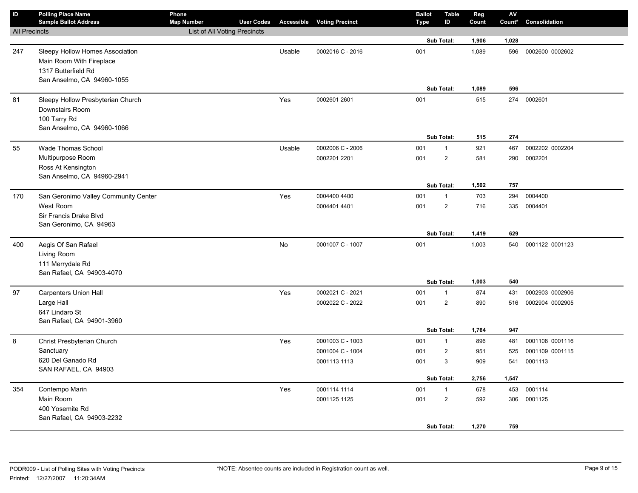| ID                   | <b>Polling Place Name</b><br><b>Sample Ballot Address</b>                                                        | Phone<br><b>Map Number</b>   | <b>User Codes</b> |        | <b>Accessible Voting Precinct</b> | <b>Ballot</b><br>Type | <b>Table</b><br>ID                           | Reg<br>Count        | AV<br>Count* | <b>Consolidation</b>       |
|----------------------|------------------------------------------------------------------------------------------------------------------|------------------------------|-------------------|--------|-----------------------------------|-----------------------|----------------------------------------------|---------------------|--------------|----------------------------|
| <b>All Precincts</b> |                                                                                                                  | List of All Voting Precincts |                   |        |                                   |                       |                                              |                     |              |                            |
|                      |                                                                                                                  |                              |                   |        |                                   |                       | Sub Total:                                   | 1,906               | 1,028        |                            |
| 247                  | Sleepy Hollow Homes Association<br>Main Room With Fireplace<br>1317 Butterfield Rd<br>San Anselmo, CA 94960-1055 |                              |                   | Usable | 0002016 C - 2016                  | 001                   | Sub Total:                                   | 1,089<br>1,089      | 596<br>596   | 0002600 0002602            |
| 81                   | Sleepy Hollow Presbyterian Church<br>Downstairs Room<br>100 Tarry Rd<br>San Anselmo, CA 94960-1066               |                              |                   | Yes    | 0002601 2601                      | 001                   | Sub Total:                                   | 515<br>515          | 274<br>274   | 0002601                    |
| 55                   | <b>Wade Thomas School</b>                                                                                        |                              |                   | Usable | 0002006 C - 2006                  | 001                   | $\mathbf{1}$                                 | 921                 | 467          | 0002202 0002204            |
|                      | Multipurpose Room<br>Ross At Kensington<br>San Anselmo, CA 94960-2941                                            |                              |                   |        | 0002201 2201                      | 001                   | $\overline{2}$<br>Sub Total:                 | 581<br>1,502        | 290<br>757   | 0002201                    |
| 170                  | San Geronimo Valley Community Center                                                                             |                              |                   | Yes    | 0004400 4400                      | 001                   | $\mathbf{1}$                                 | 703                 | 294          | 0004400                    |
|                      | West Room<br>Sir Francis Drake Blvd<br>San Geronimo, CA 94963                                                    |                              |                   |        | 0004401 4401                      | 001                   | $\overline{2}$                               | 716                 | 335          | 0004401                    |
|                      |                                                                                                                  |                              |                   |        |                                   |                       | Sub Total:                                   | 1,419               | 629          |                            |
| 400                  | Aegis Of San Rafael<br>Living Room<br>111 Merrydale Rd<br>San Rafael, CA 94903-4070                              |                              |                   | No     | 0001007 C - 1007                  | 001                   | Sub Total:                                   | 1,003<br>1,003      | 540<br>540   | 0001122 0001123            |
| 97                   | <b>Carpenters Union Hall</b>                                                                                     |                              |                   | Yes    | 0002021 C - 2021                  | 001                   | $\mathbf{1}$                                 | 874                 | 431          | 0002903 0002906            |
|                      | Large Hall<br>647 Lindaro St<br>San Rafael, CA 94901-3960                                                        |                              |                   |        | 0002022 C - 2022                  | 001                   | $\overline{2}$                               | 890                 | 516          | 0002904 0002905            |
|                      |                                                                                                                  |                              |                   |        |                                   |                       | Sub Total:                                   | 1,764               | 947          |                            |
| 8                    | Christ Presbyterian Church                                                                                       |                              |                   | Yes    | 0001003 C - 1003                  | 001                   | $\mathbf{1}$                                 | 896                 | 481          | 0001108 0001116            |
|                      | Sanctuary<br>620 Del Ganado Rd<br>SAN RAFAEL, CA 94903                                                           |                              |                   |        | 0001004 C - 1004<br>0001113 1113  | 001<br>001            | $\overline{2}$<br>3                          | 951<br>909          | 525<br>541   | 0001109 0001115<br>0001113 |
|                      |                                                                                                                  |                              |                   |        |                                   |                       | Sub Total:                                   | 2,756               | 1,547        |                            |
| 354                  | Contempo Marin<br>Main Room<br>400 Yosemite Rd<br>San Rafael, CA 94903-2232                                      |                              |                   | Yes    | 0001114 1114<br>0001125 1125      | 001<br>001            | $\mathbf{1}$<br>$\overline{c}$<br>Sub Total: | 678<br>592<br>1,270 | 759          | 453 0001114<br>306 0001125 |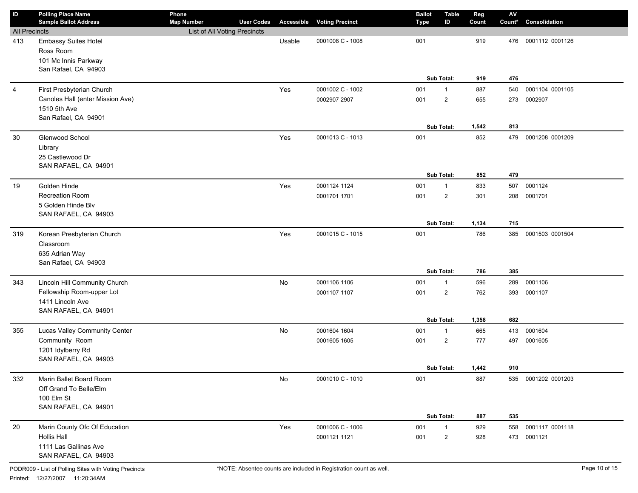| ID                   | <b>Polling Place Name</b><br><b>Sample Ballot Address</b> | Phone<br><b>Map Number</b>   | <b>User Codes</b> |        | <b>Accessible Voting Precinct</b> | <b>Ballot</b><br>Type | <b>Table</b><br>ID | Reg<br>Count | $\mathsf{A}\mathsf{V}$<br>Count* | Consolidation       |
|----------------------|-----------------------------------------------------------|------------------------------|-------------------|--------|-----------------------------------|-----------------------|--------------------|--------------|----------------------------------|---------------------|
| <b>All Precincts</b> |                                                           | List of All Voting Precincts |                   |        |                                   |                       |                    |              |                                  |                     |
| 413                  | <b>Embassy Suites Hotel</b>                               |                              |                   | Usable | 0001008 C - 1008                  | 001                   |                    | 919          | 476                              | 0001112 0001126     |
|                      | Ross Room                                                 |                              |                   |        |                                   |                       |                    |              |                                  |                     |
|                      | 101 Mc Innis Parkway                                      |                              |                   |        |                                   |                       |                    |              |                                  |                     |
|                      | San Rafael, CA 94903                                      |                              |                   |        |                                   |                       |                    |              |                                  |                     |
|                      |                                                           |                              |                   |        |                                   |                       | Sub Total:         | 919          | 476                              |                     |
| $\overline{4}$       | First Presbyterian Church                                 |                              |                   | Yes    | 0001002 C - 1002                  | 001                   | $\mathbf{1}$       | 887          | 540                              | 0001104 0001105     |
|                      | Canoles Hall (enter Mission Ave)                          |                              |                   |        | 0002907 2907                      | 001                   | $\overline{2}$     | 655          | 273                              | 0002907             |
|                      | 1510 5th Ave                                              |                              |                   |        |                                   |                       |                    |              |                                  |                     |
|                      | San Rafael, CA 94901                                      |                              |                   |        |                                   |                       |                    |              |                                  |                     |
|                      |                                                           |                              |                   |        |                                   |                       | Sub Total:         | 1,542        | 813                              |                     |
| 30                   | Glenwood School                                           |                              |                   | Yes    | 0001013 C - 1013                  | 001                   |                    | 852          | 479                              | 0001208 0001209     |
|                      | Library                                                   |                              |                   |        |                                   |                       |                    |              |                                  |                     |
|                      | 25 Castlewood Dr                                          |                              |                   |        |                                   |                       |                    |              |                                  |                     |
|                      | SAN RAFAEL, CA 94901                                      |                              |                   |        |                                   |                       | Sub Total:         | 852          | 479                              |                     |
|                      | Golden Hinde                                              |                              |                   |        |                                   |                       |                    |              |                                  |                     |
| 19                   | Recreation Room                                           |                              |                   | Yes    | 0001124 1124                      | 001                   | $\mathbf{1}$       | 833          | 507                              | 0001124             |
|                      | 5 Golden Hinde Blv                                        |                              |                   |        | 0001701 1701                      | 001                   | $\overline{2}$     | 301          | 208                              | 0001701             |
|                      | SAN RAFAEL, CA 94903                                      |                              |                   |        |                                   |                       |                    |              |                                  |                     |
|                      |                                                           |                              |                   |        |                                   |                       | Sub Total:         | 1,134        | 715                              |                     |
| 319                  | Korean Presbyterian Church                                |                              |                   | Yes    | 0001015 C - 1015                  | 001                   |                    | 786          | 385                              | 0001503 0001504     |
|                      | Classroom                                                 |                              |                   |        |                                   |                       |                    |              |                                  |                     |
|                      | 635 Adrian Way                                            |                              |                   |        |                                   |                       |                    |              |                                  |                     |
|                      | San Rafael, CA 94903                                      |                              |                   |        |                                   |                       |                    |              |                                  |                     |
|                      |                                                           |                              |                   |        |                                   |                       | Sub Total:         | 786          | 385                              |                     |
| 343                  | Lincoln Hill Community Church                             |                              |                   | No     | 0001106 1106                      | 001                   | $\mathbf{1}$       | 596          | 289                              | 0001106             |
|                      | Fellowship Room-upper Lot                                 |                              |                   |        | 0001107 1107                      | 001                   | $\overline{2}$     | 762          | 393                              | 0001107             |
|                      | 1411 Lincoln Ave                                          |                              |                   |        |                                   |                       |                    |              |                                  |                     |
|                      | SAN RAFAEL, CA 94901                                      |                              |                   |        |                                   |                       |                    |              |                                  |                     |
|                      |                                                           |                              |                   |        |                                   |                       | Sub Total:         | 1,358        | 682                              |                     |
| 355                  | Lucas Valley Community Center                             |                              |                   | No     | 0001604 1604                      | 001                   | $\mathbf{1}$       | 665          | 413                              | 0001604             |
|                      | Community Room                                            |                              |                   |        | 0001605 1605                      | 001                   | $\overline{2}$     | 777          | 497                              | 0001605             |
|                      | 1201 Idylberry Rd                                         |                              |                   |        |                                   |                       |                    |              |                                  |                     |
|                      | SAN RAFAEL, CA 94903                                      |                              |                   |        |                                   |                       |                    |              |                                  |                     |
|                      |                                                           |                              |                   |        |                                   |                       | Sub Total:         | 1,442        | 910                              |                     |
| 332                  | Marin Ballet Board Room                                   |                              |                   | No     | 0001010 C - 1010                  | 001                   |                    | 887          |                                  | 535 0001202 0001203 |
|                      | Off Grand To Belle/Elm                                    |                              |                   |        |                                   |                       |                    |              |                                  |                     |
|                      | 100 Elm St<br>SAN RAFAEL, CA 94901                        |                              |                   |        |                                   |                       |                    |              |                                  |                     |
|                      |                                                           |                              |                   |        |                                   |                       | Sub Total:         | 887          | 535                              |                     |
| 20                   | Marin County Ofc Of Education                             |                              |                   | Yes    | 0001006 C - 1006                  | 001                   | $\mathbf{1}$       | 929          | 558                              | 0001117 0001118     |
|                      | Hollis Hall                                               |                              |                   |        | 0001121 1121                      | 001                   | $\overline{a}$     | 928          |                                  | 473 0001121         |
|                      | 1111 Las Gallinas Ave                                     |                              |                   |        |                                   |                       |                    |              |                                  |                     |
|                      | SAN RAFAEL, CA 94903                                      |                              |                   |        |                                   |                       |                    |              |                                  |                     |
|                      |                                                           |                              |                   |        |                                   |                       |                    |              |                                  |                     |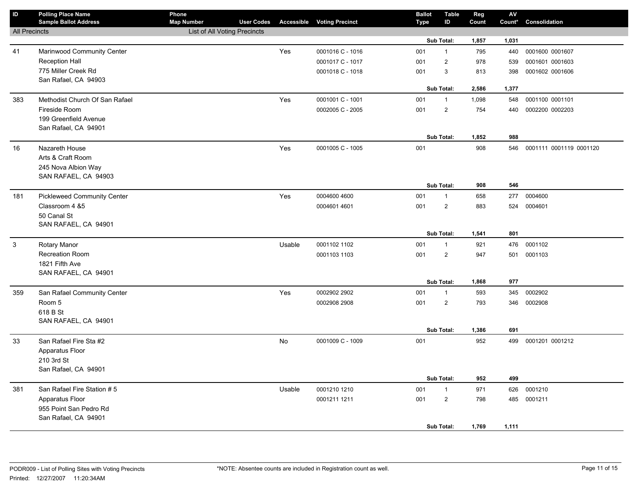| $\mathsf{ID}$        | <b>Polling Place Name</b><br><b>Sample Ballot Address</b> | Phone<br><b>Map Number</b>          | <b>User Codes</b> |        | <b>Accessible Voting Precinct</b> | <b>Ballot</b><br><b>Type</b> | <b>Table</b><br>ID      | Reg<br>Count | ${\sf AV}$<br>Count* | Consolidation           |
|----------------------|-----------------------------------------------------------|-------------------------------------|-------------------|--------|-----------------------------------|------------------------------|-------------------------|--------------|----------------------|-------------------------|
| <b>All Precincts</b> |                                                           | <b>List of All Voting Precincts</b> |                   |        |                                   |                              |                         |              |                      |                         |
|                      |                                                           |                                     |                   |        |                                   |                              | Sub Total:              | 1,857        | 1,031                |                         |
| 41                   | Marinwood Community Center                                |                                     |                   | Yes    | 0001016 C - 1016                  | 001                          | $\mathbf{1}$            | 795          | 440                  | 0001600 0001607         |
|                      | <b>Reception Hall</b>                                     |                                     |                   |        | 0001017 C - 1017                  | 001                          | $\mathbf{2}^{\prime}$   | 978          | 539                  | 0001601 0001603         |
|                      | 775 Miller Creek Rd                                       |                                     |                   |        | 0001018 C - 1018                  | 001                          | 3                       | 813          | 398                  | 0001602 0001606         |
|                      | San Rafael, CA 94903                                      |                                     |                   |        |                                   |                              |                         |              |                      |                         |
|                      |                                                           |                                     |                   |        |                                   |                              | <b>Sub Total:</b>       | 2,586        | 1,377                |                         |
| 383                  | Methodist Church Of San Rafael                            |                                     |                   | Yes    | 0001001 C - 1001                  | 001                          | $\mathbf{1}$            | 1,098        | 548                  | 0001100 0001101         |
|                      | Fireside Room                                             |                                     |                   |        | 0002005 C - 2005                  | 001                          | $\overline{2}$          | 754          | 440                  | 0002200 0002203         |
|                      | 199 Greenfield Avenue                                     |                                     |                   |        |                                   |                              |                         |              |                      |                         |
|                      | San Rafael, CA 94901                                      |                                     |                   |        |                                   |                              |                         |              |                      |                         |
|                      |                                                           |                                     |                   |        |                                   |                              | Sub Total:              | 1,852        | 988                  |                         |
| 16                   | Nazareth House                                            |                                     |                   | Yes    | 0001005 C - 1005                  | 001                          |                         | 908          | 546                  | 0001111 0001119 0001120 |
|                      | Arts & Craft Room                                         |                                     |                   |        |                                   |                              |                         |              |                      |                         |
|                      | 245 Nova Albion Way<br>SAN RAFAEL, CA 94903               |                                     |                   |        |                                   |                              |                         |              |                      |                         |
|                      |                                                           |                                     |                   |        |                                   |                              | Sub Total:              | 908          | 546                  |                         |
| 181                  | <b>Pickleweed Community Center</b>                        |                                     |                   | Yes    | 0004600 4600                      | 001                          | $\mathbf{1}$            | 658          | 277                  | 0004600                 |
|                      | Classroom 4 &5                                            |                                     |                   |        | 0004601 4601                      | 001                          | $\overline{2}$          | 883          | 524                  | 0004601                 |
|                      | 50 Canal St                                               |                                     |                   |        |                                   |                              |                         |              |                      |                         |
|                      | SAN RAFAEL, CA 94901                                      |                                     |                   |        |                                   |                              |                         |              |                      |                         |
|                      |                                                           |                                     |                   |        |                                   |                              | Sub Total:              | 1,541        | 801                  |                         |
| $\mathbf{3}$         | <b>Rotary Manor</b>                                       |                                     |                   | Usable | 0001102 1102                      | 001                          | $\mathbf{1}$            | 921          | 476                  | 0001102                 |
|                      | Recreation Room                                           |                                     |                   |        | 0001103 1103                      | 001                          | $\overline{2}$          | 947          | 501                  | 0001103                 |
|                      | 1821 Fifth Ave                                            |                                     |                   |        |                                   |                              |                         |              |                      |                         |
|                      | SAN RAFAEL, CA 94901                                      |                                     |                   |        |                                   |                              |                         |              |                      |                         |
|                      |                                                           |                                     |                   |        |                                   |                              | <b>Sub Total:</b>       | 1,868        | 977                  |                         |
| 359                  | San Rafael Community Center                               |                                     |                   | Yes    | 0002902 2902                      | 001                          | $\mathbf{1}$            | 593          | 345                  | 0002902                 |
|                      | Room 5                                                    |                                     |                   |        | 0002908 2908                      | 001                          | $\overline{\mathbf{c}}$ | 793          | 346                  | 0002908                 |
|                      | 618 B St                                                  |                                     |                   |        |                                   |                              |                         |              |                      |                         |
|                      | SAN RAFAEL, CA 94901                                      |                                     |                   |        |                                   |                              | Sub Total:              | 1,386        | 691                  |                         |
|                      | San Rafael Fire Sta #2                                    |                                     |                   | No     | 0001009 C - 1009                  | 001                          |                         | 952          | 499                  | 0001201 0001212         |
| 33                   | Apparatus Floor                                           |                                     |                   |        |                                   |                              |                         |              |                      |                         |
|                      | 210 3rd St                                                |                                     |                   |        |                                   |                              |                         |              |                      |                         |
|                      | San Rafael, CA 94901                                      |                                     |                   |        |                                   |                              |                         |              |                      |                         |
|                      |                                                           |                                     |                   |        |                                   |                              | Sub Total:              | 952          | 499                  |                         |
| 381                  | San Rafael Fire Station #5                                |                                     |                   | Usable | 0001210 1210                      | 001                          | $\mathbf{1}$            | 971          | 626                  | 0001210                 |
|                      | Apparatus Floor                                           |                                     |                   |        | 0001211 1211                      | 001                          | $\overline{2}$          | 798          |                      | 485 0001211             |
|                      | 955 Point San Pedro Rd                                    |                                     |                   |        |                                   |                              |                         |              |                      |                         |
|                      | San Rafael, CA 94901                                      |                                     |                   |        |                                   |                              |                         |              |                      |                         |
|                      |                                                           |                                     |                   |        |                                   |                              | Sub Total:              | 1,769        | 1,111                |                         |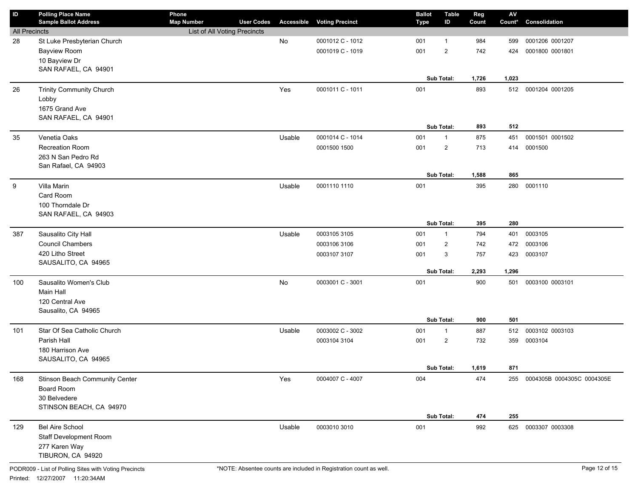| ID                   | <b>Polling Place Name</b>                  | Phone                        |                   |                   |                        | <b>Ballot</b> | <b>Table</b>   | Reg   | ${\sf AV}$ |                                |
|----------------------|--------------------------------------------|------------------------------|-------------------|-------------------|------------------------|---------------|----------------|-------|------------|--------------------------------|
|                      | <b>Sample Ballot Address</b>               | <b>Map Number</b>            | <b>User Codes</b> | <b>Accessible</b> | <b>Voting Precinct</b> | <b>Type</b>   | ID             | Count | Count*     | Consolidation                  |
| <b>All Precincts</b> |                                            | List of All Voting Precincts |                   |                   |                        |               |                |       |            |                                |
| 28                   | St Luke Presbyterian Church                |                              |                   | No                | 0001012 C - 1012       | 001           | $\mathbf{1}$   | 984   | 599        | 0001206 0001207                |
|                      | <b>Bayview Room</b>                        |                              |                   |                   | 0001019 C - 1019       | 001           | $\overline{2}$ | 742   | 424        | 0001800 0001801                |
|                      | 10 Bayview Dr                              |                              |                   |                   |                        |               |                |       |            |                                |
|                      | SAN RAFAEL, CA 94901                       |                              |                   |                   |                        |               |                |       |            |                                |
|                      |                                            |                              |                   |                   |                        |               | Sub Total:     | 1,726 | 1,023      |                                |
| 26                   | <b>Trinity Community Church</b>            |                              |                   | Yes               | 0001011 C - 1011       | 001           |                | 893   | 512        | 0001204 0001205                |
|                      | Lobby                                      |                              |                   |                   |                        |               |                |       |            |                                |
|                      | 1675 Grand Ave                             |                              |                   |                   |                        |               |                |       |            |                                |
|                      | SAN RAFAEL, CA 94901                       |                              |                   |                   |                        |               | Sub Total:     | 893   | 512        |                                |
|                      |                                            |                              |                   |                   | 0001014 C - 1014       |               |                |       |            |                                |
| 35                   | Venetia Oaks                               |                              |                   | Usable            |                        | 001           | $\mathbf{1}$   | 875   | 451        | 0001501 0001502                |
|                      | Recreation Room                            |                              |                   |                   | 0001500 1500           | 001           | $\overline{2}$ | 713   | 414        | 0001500                        |
|                      | 263 N San Pedro Rd<br>San Rafael, CA 94903 |                              |                   |                   |                        |               |                |       |            |                                |
|                      |                                            |                              |                   |                   |                        |               | Sub Total:     | 1,588 | 865        |                                |
| 9                    | Villa Marin                                |                              |                   | Usable            | 0001110 1110           | 001           |                | 395   | 280        | 0001110                        |
|                      | Card Room                                  |                              |                   |                   |                        |               |                |       |            |                                |
|                      | 100 Thorndale Dr                           |                              |                   |                   |                        |               |                |       |            |                                |
|                      | SAN RAFAEL, CA 94903                       |                              |                   |                   |                        |               |                |       |            |                                |
|                      |                                            |                              |                   |                   |                        |               | Sub Total:     | 395   | 280        |                                |
| 387                  | Sausalito City Hall                        |                              |                   | Usable            | 0003105 3105           | 001           | $\mathbf{1}$   | 794   | 401        | 0003105                        |
|                      | <b>Council Chambers</b>                    |                              |                   |                   | 0003106 3106           | 001           | $\overline{2}$ | 742   | 472        | 0003106                        |
|                      | 420 Litho Street                           |                              |                   |                   | 0003107 3107           | 001           | 3              | 757   | 423        | 0003107                        |
|                      | SAUSALITO, CA 94965                        |                              |                   |                   |                        |               |                |       |            |                                |
|                      |                                            |                              |                   |                   |                        |               | Sub Total:     | 2,293 | 1,296      |                                |
| 100                  | Sausalito Women's Club                     |                              |                   | No                | 0003001 C - 3001       | 001           |                | 900   | 501        | 0003100 0003101                |
|                      | Main Hall                                  |                              |                   |                   |                        |               |                |       |            |                                |
|                      | 120 Central Ave                            |                              |                   |                   |                        |               |                |       |            |                                |
|                      | Sausalito, CA 94965                        |                              |                   |                   |                        |               |                |       |            |                                |
|                      |                                            |                              |                   |                   |                        |               | Sub Total:     | 900   | 501        |                                |
| 101                  | Star Of Sea Catholic Church                |                              |                   | Usable            | 0003002 C - 3002       | 001           | $\mathbf{1}$   | 887   | 512        | 0003102 0003103                |
|                      | Parish Hall                                |                              |                   |                   | 0003104 3104           | 001           | $\overline{2}$ | 732   | 359        | 0003104                        |
|                      | 180 Harrison Ave                           |                              |                   |                   |                        |               |                |       |            |                                |
|                      | SAUSALITO, CA 94965                        |                              |                   |                   |                        |               |                |       |            |                                |
|                      |                                            |                              |                   |                   |                        |               | Sub Total:     | 1,619 | 871        |                                |
| 168                  | Stinson Beach Community Center             |                              |                   | Yes               | 0004007 C - 4007       | 004           |                | 474   |            | 255 0004305B 0004305C 0004305E |
|                      | Board Room                                 |                              |                   |                   |                        |               |                |       |            |                                |
|                      | 30 Belvedere                               |                              |                   |                   |                        |               |                |       |            |                                |
|                      | STINSON BEACH, CA 94970                    |                              |                   |                   |                        |               |                |       |            |                                |
|                      |                                            |                              |                   |                   |                        |               | Sub Total:     | 474   | 255        |                                |
| 129                  | <b>Bel Aire School</b>                     |                              |                   | Usable            | 0003010 3010           | 001           |                | 992   | 625        | 0003307 0003308                |
|                      | Staff Development Room                     |                              |                   |                   |                        |               |                |       |            |                                |
|                      | 277 Karen Way                              |                              |                   |                   |                        |               |                |       |            |                                |
|                      | TIBURON, CA 94920                          |                              |                   |                   |                        |               |                |       |            |                                |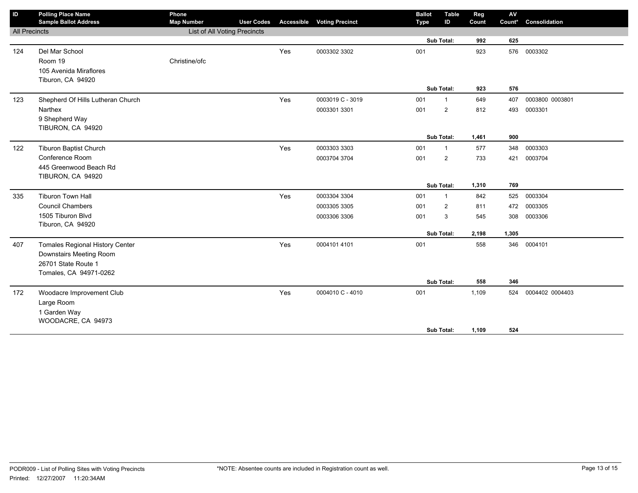| ID                   | <b>Polling Place Name</b>              | Phone                        |                   |                   |                        | <b>Ballot</b> | <b>Table</b>   | Reg   | $\mathsf{AV}$ |                 |
|----------------------|----------------------------------------|------------------------------|-------------------|-------------------|------------------------|---------------|----------------|-------|---------------|-----------------|
|                      | <b>Sample Ballot Address</b>           | <b>Map Number</b>            | <b>User Codes</b> | <b>Accessible</b> | <b>Voting Precinct</b> | <b>Type</b>   | ID             | Count | Count*        | Consolidation   |
| <b>All Precincts</b> |                                        | List of All Voting Precincts |                   |                   |                        |               |                |       |               |                 |
|                      |                                        |                              |                   |                   |                        |               | Sub Total:     | 992   | 625           |                 |
| 124                  | Del Mar School                         |                              |                   | Yes               | 0003302 3302           | 001           |                | 923   |               | 576 0003302     |
|                      | Room 19                                | Christine/ofc                |                   |                   |                        |               |                |       |               |                 |
|                      | 105 Avenida Miraflores                 |                              |                   |                   |                        |               |                |       |               |                 |
|                      | Tiburon, CA 94920                      |                              |                   |                   |                        |               |                |       |               |                 |
|                      |                                        |                              |                   |                   |                        |               | Sub Total:     | 923   | 576           |                 |
| 123                  | Shepherd Of Hills Lutheran Church      |                              |                   | Yes               | 0003019 C - 3019       | 001           | $\overline{1}$ | 649   | 407           | 0003800 0003801 |
|                      | Narthex                                |                              |                   |                   | 0003301 3301           | 001           | $\overline{2}$ | 812   | 493           | 0003301         |
|                      | 9 Shepherd Way                         |                              |                   |                   |                        |               |                |       |               |                 |
|                      | TIBURON, CA 94920                      |                              |                   |                   |                        |               |                |       |               |                 |
|                      |                                        |                              |                   |                   |                        |               | Sub Total:     | 1,461 | 900           |                 |
| 122                  | <b>Tiburon Baptist Church</b>          |                              |                   | Yes               | 0003303 3303           | 001           | $\mathbf{1}$   | 577   | 348           | 0003303         |
|                      | Conference Room                        |                              |                   |                   | 0003704 3704           | 001           | $\overline{2}$ | 733   | 421           | 0003704         |
|                      | 445 Greenwood Beach Rd                 |                              |                   |                   |                        |               |                |       |               |                 |
|                      | TIBURON, CA 94920                      |                              |                   |                   |                        |               |                |       |               |                 |
|                      |                                        |                              |                   |                   |                        |               | Sub Total:     | 1,310 | 769           |                 |
| 335                  | <b>Tiburon Town Hall</b>               |                              |                   | Yes               | 0003304 3304           | 001           | $\mathbf{1}$   | 842   | 525           | 0003304         |
|                      | <b>Council Chambers</b>                |                              |                   |                   | 0003305 3305           | 001           | 2              | 811   | 472           | 0003305         |
|                      | 1505 Tiburon Blvd                      |                              |                   |                   | 0003306 3306           | 001           | 3              | 545   | 308           | 0003306         |
|                      | Tiburon, CA 94920                      |                              |                   |                   |                        |               |                |       |               |                 |
|                      |                                        |                              |                   |                   |                        |               | Sub Total:     | 2,198 | 1,305         |                 |
| 407                  | <b>Tomales Regional History Center</b> |                              |                   | Yes               | 0004101 4101           | 001           |                | 558   | 346           | 0004101         |
|                      | Downstairs Meeting Room                |                              |                   |                   |                        |               |                |       |               |                 |
|                      | 26701 State Route 1                    |                              |                   |                   |                        |               |                |       |               |                 |
|                      | Tomales, CA 94971-0262                 |                              |                   |                   |                        |               |                |       |               |                 |
|                      |                                        |                              |                   |                   |                        |               | Sub Total:     | 558   | 346           |                 |
| 172                  | Woodacre Improvement Club              |                              |                   | Yes               | 0004010 C - 4010       | 001           |                | 1,109 | 524           | 0004402 0004403 |
|                      | Large Room                             |                              |                   |                   |                        |               |                |       |               |                 |
|                      | 1 Garden Way                           |                              |                   |                   |                        |               |                |       |               |                 |
|                      | WOODACRE, CA 94973                     |                              |                   |                   |                        |               |                |       |               |                 |
|                      |                                        |                              |                   |                   |                        |               | Sub Total:     | 1,109 | 524           |                 |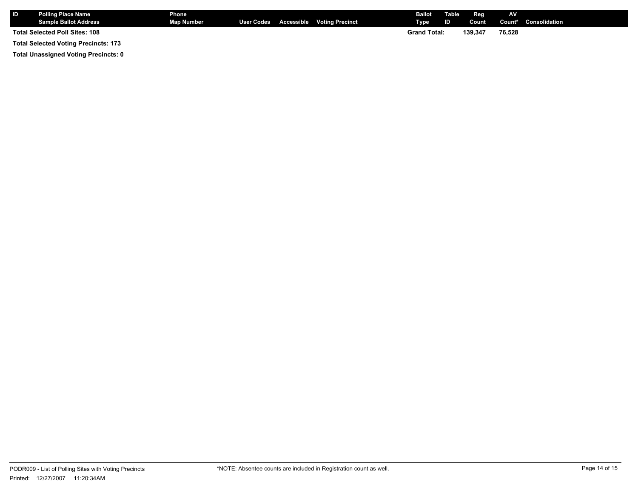| <b>IID</b> | <b>Polling Place Name</b><br><b>Sample Ballot Address</b> | Phone<br>Map Number |  | User Codes Accessible Voting Precinct | Ballot<br>Tvpe      | Table<br>ID | Reg<br>Count | AV     | <b>Count*</b> Consolidation |
|------------|-----------------------------------------------------------|---------------------|--|---------------------------------------|---------------------|-------------|--------------|--------|-----------------------------|
|            | <b>Total Selected Poll Sites: 108</b>                     |                     |  |                                       | <b>Grand Total:</b> |             | 139.347      | 76,528 |                             |
|            | <b>Total Selected Voting Precincts: 173</b>               |                     |  |                                       |                     |             |              |        |                             |

**Total Unassigned Voting Precincts: 0**